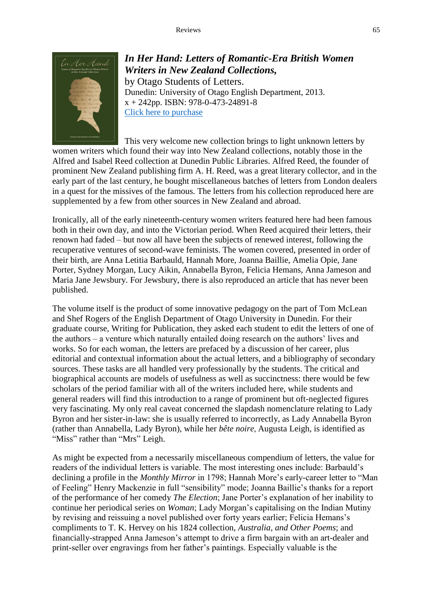

*In Her Hand: Letters of Romantic-Era British Women Writers in New Zealand Collections,* by Otago Students of Letters. Dunedin: University of Otago English Department, 2013. x + 242pp. ISBN: 978-0-473-24891-8 [Click here to purchase](http://www.otago.ac.nz/english-linguistics/research/publications/)

This very welcome new collection brings to light unknown letters by women writers which found their way into New Zealand collections, notably those in the Alfred and Isabel Reed collection at Dunedin Public Libraries. Alfred Reed, the founder of prominent New Zealand publishing firm A. H. Reed, was a great literary collector, and in the early part of the last century, he bought miscellaneous batches of letters from London dealers in a quest for the missives of the famous. The letters from his collection reproduced here are supplemented by a few from other sources in New Zealand and abroad.

Ironically, all of the early nineteenth-century women writers featured here had been famous both in their own day, and into the Victorian period. When Reed acquired their letters, their renown had faded – but now all have been the subjects of renewed interest, following the recuperative ventures of second-wave feminists. The women covered, presented in order of their birth, are Anna Letitia Barbauld, Hannah More, Joanna Baillie, Amelia Opie, Jane Porter, Sydney Morgan, Lucy Aikin, Annabella Byron, Felicia Hemans, Anna Jameson and Maria Jane Jewsbury. For Jewsbury, there is also reproduced an article that has never been published.

The volume itself is the product of some innovative pedagogy on the part of Tom McLean and Shef Rogers of the English Department of Otago University in Dunedin. For their graduate course, Writing for Publication, they asked each student to edit the letters of one of the authors – a venture which naturally entailed doing research on the authors' lives and works. So for each woman, the letters are prefaced by a discussion of her career, plus editorial and contextual information about the actual letters, and a bibliography of secondary sources. These tasks are all handled very professionally by the students. The critical and biographical accounts are models of usefulness as well as succinctness: there would be few scholars of the period familiar with all of the writers included here, while students and general readers will find this introduction to a range of prominent but oft-neglected figures very fascinating. My only real caveat concerned the slapdash nomenclature relating to Lady Byron and her sister-in-law: she is usually referred to incorrectly, as Lady Annabella Byron (rather than Annabella, Lady Byron), while her *bête noire*, Augusta Leigh, is identified as "Miss" rather than "Mrs" Leigh.

As might be expected from a necessarily miscellaneous compendium of letters, the value for readers of the individual letters is variable. The most interesting ones include: Barbauld's declining a profile in the *Monthly Mirror* in 1798; Hannah More's early-career letter to "Man of Feeling" Henry Mackenzie in full "sensibility" mode; Joanna Baillie's thanks for a report of the performance of her comedy *The Election*; Jane Porter's explanation of her inability to continue her periodical series on *Woman*; Lady Morgan's capitalising on the Indian Mutiny by revising and reissuing a novel published over forty years earlier; Felicia Hemans's compliments to T. K. Hervey on his 1824 collection, *Australia, and Other Poems*; and financially-strapped Anna Jameson's attempt to drive a firm bargain with an art-dealer and print-seller over engravings from her father's paintings. Especially valuable is the